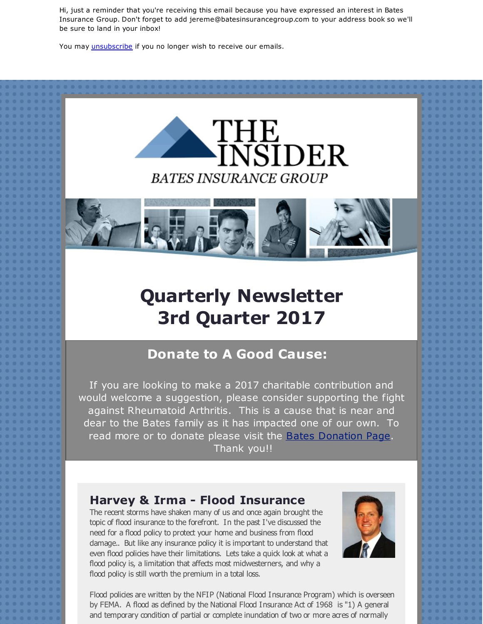Hi, just a reminder that you're receiving this email because you have expressed an interest in Bates Insurance Group. Don't forget to add jereme@batesinsurancegroup.com to your address book so we'll be sure to land in your inbox!

You may *[unsubscribe](https://visitor.constantcontact.com/do?p=un&m=001pMT0gq0BV-p4gSkm09XXfQ%3D%3D&ch=&ca=adec4d14-0753-4f0a-8831-bfc7a61e433a)* if you no longer wish to receive our emails.





# **Quarterly Newsletter 3rd Quarter 2017**

## **Donate to A Good Cause:**

If you are looking to make a 2017 charitable contribution and would welcome a suggestion, please consider supporting the fight against Rheumatoid Arthritis. This is a cause that is near and dear to the Bates family as it has impacted one of our own. To read more or to donate please visit the **Bates [Donation](http://r20.rs6.net/tn.jsp?f=001vBFFHOtImPZQ65tav--H6-XnOisbcSA5GkDMK4JUWNf5j55j2z8Ow0gRF4W4UksPwAGcIHUiAgMs_x1y9lTuGRncWNE1cC_9-rN3UPwOm9qx6Fe81MCnhQ5r5eGMQhQRekvYzbjgZo6JjsXomWZtqvYgjQ0qXL1T01QnGqymXsgNE3jgZzuU3flS82fe9foQ4lxrRabdVq4AC9rTSKdjpFCia_f5tYZsO8rS-ycVDn2TFZc-LuXikvUdpJ1UJQksuR7QHEKVEZWB1FGErOJhxSfyK5Zo7h27hakkTym8n1ar2VJr1-4uo0IHFUglVbEP_N3l6jeHwJ_7g_9Vt2KdYQZbFASe8NchR5XsB-zUfQFjfUAoVEKJQA==&c=&ch=) Page**. Thank you!!

### **Harvey & Irma - Flood Insurance**

The recent storms have shaken many of us and once again brought the topic of flood insurance to the forefront. In the past I've discussed the need for a flood policy to protect your home and business from flood damage.. But like any insurance policy it is important to understand that even flood policies have their limitations. Lets take a quick look at what a flood policy is, a limitation that affects most midwesterners, and why a flood policy is still worth the premium in a total loss.



Flood policies are written by the NFIP (National Flood Insurance Program) which is overseen by FEMA. A flood as defined by the National Flood Insurance Act of 1968 is "1) A general and temporary condition of partial or complete inundation of two or more acres of normally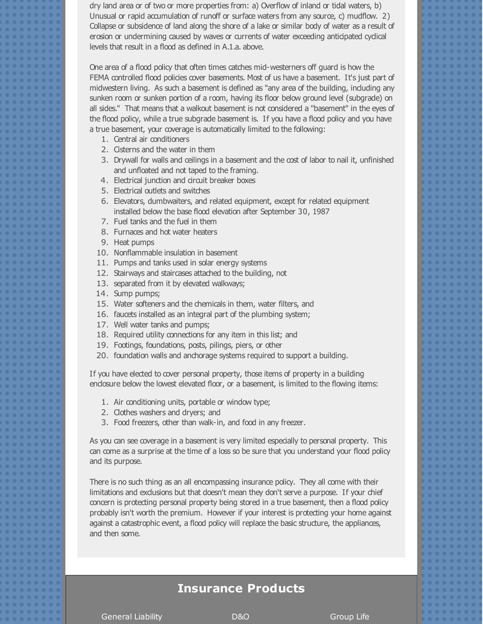dry land area or of two or more properties from: a) Overflow of inland or tidal waters, b) Unusual or rapid accumulation of runoff or surface waters from any source, c) mudflow. 2) Collapse or subsidence of land along the shore of a lake or similar body of water as a result of erosion or undermining caused by waves or currents of water exceeding anticipated cyclical levels that result in a flood as defined in A.1.a. above.

One area of a flood policy that often times catches mid-westerners off guard is how the FEMA controlled flood policies cover basements. Most of us have a basement. It's just part of midwestern living. As such a basement is defined as "any area of the building, induding any sunken room or sunken portion of a room, having its floor below ground level (subgrade) on all sides." That means that a walkout basement is not considered a "basement" in the eyes of the flood policy, while a true subgrade basement is. If you have a flood policy and you have a true basement, your coverage is automatically limited to the following:

- 1. Central air conditioners
- 2. Cisterns and the water in them
- 3. Drywall for walls and ceilings in a basement and the cost of labor to nail it, unfinished and unfloated and not taped to the framing.
- 4. Electrical junction and circuit breaker boxes
- 5. Electrical outlets and switches
- 6. Elevators, dumbwaiters, and related equipment, except for related equipment installed below the base flood elevation after September 30, 1987
- 7. Fuel tanks and the fuel in them
- 8. Furnaces and hot water heaters
- 9. Heat pumps
- 10. Nonflammable insulation in basement
- 11. Pumps and tanks used in solar energy systems
- 12. Stairways and staircases attached to the building, not
- 13. separated from it by elevated walkways;
- 14. Sump pumps;
- 15. Water softeners and the chemicals in them, water filters, and
- 16. faucets installed as an integral part of the plumbing system;
- 17. Well water tanks and pumps;
- 18. Required utility connections for any item in this list; and
- 19. Footings, foundations, posts, pilings, piers, or other
- 20. foundation walls and anchorage systems required to support a building.

If you have elected to cover personal property, those items of property in a building endosure below the lowest elevated floor, or a basement, is limited to the flowing items:

- 1. Air conditioning units, portable or window type;
- 2. Clothes washers and dryers; and
- 3. Food freezers, other than walk-in, and food in any freezer.

As you can see coverage in a basement is very limited especially to personal property. This can come as a surprise at the time of a loss so be sure that you understand your flood policy and its purpose.

There is no such thing as an all encompassing insurance policy. They all come with their limitations and exclusions but that doesn't mean they don't serve a purpose. If your chief concern is protecting personal property being stored in a true basement, then a flood policy probably isn't worth the premium. However if your interest is protecting your home against against a catastrophic event, a flood policy will replace the basic structure, the appliances, and then some.

### **Insurance Products**

General Liability Communication D&O Group Life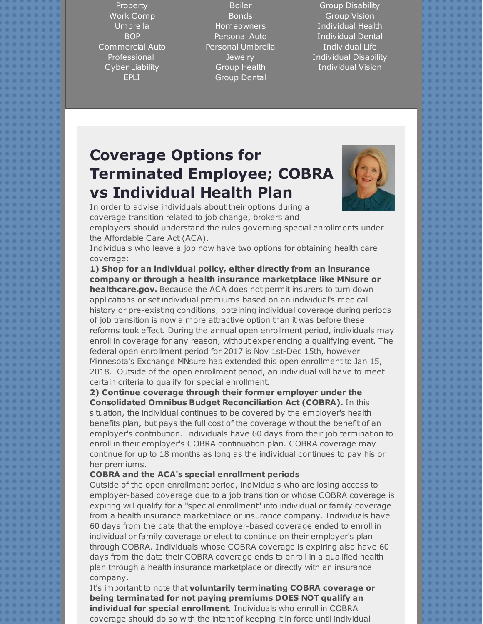Property Work Comp Umbrella BOP Commercial Auto Professional Cyber Liability EPLI

Boiler Bonds Homeowners Personal Auto Personal Umbrella **Jewelry** Group Health Group Dental

Group Disability Group Vision Individual Health Individual Dental Individual Life Individual Disability Individual Vision

## **Coverage Options for Terminated Employee; COBRA vs Individual Health Plan**



In order to advise individuals about their options during a coverage transition related to job change, brokers and

employers should understand the rules governing special enrollments under the Affordable Care Act (ACA).

Individuals who leave a job now have two options for obtaining health care coverage:

**1) Shop for an individual policy, either directly from an insurance company or through a health insurance marketplace like MNsure or healthcare.gov.** Because the ACA does not permit insurers to turn down applications or set individual premiums based on an individual's medical history or pre-existing conditions, obtaining individual coverage during periods of job transition is now a more attractive option than it was before these reforms took effect. During the annual open enrollment period, individuals may enroll in coverage for any reason, without experiencing a qualifying event. The federal open enrollment period for 2017 is Nov 1st-Dec 15th, however Minnesota's Exchange MNsure has extended this open enrollment to Jan 15, 2018. Outside of the open enrollment period, an individual will have to meet certain criteria to qualify for special enrollment.

**2) Continue coverage through their former employer under the Consolidated Omnibus Budget Reconciliation Act (COBRA).** In this situation, the individual continues to be covered by the employer's health benefits plan, but pays the full cost of the coverage without the benefit of an employer's contribution. Individuals have 60 days from their job termination to enroll in their employer's COBRA continuation plan. COBRA coverage may continue for up to 18 months as long as the individual continues to pay his or her premiums.

### **COBRA and the ACA's special enrollment periods**

Outside of the open enrollment period, individuals who are losing access to employer-based coverage due to a job transition or whose COBRA coverage is expiring will qualify for a "special enrollment" into individual or family coverage from a health insurance marketplace or insurance company. Individuals have 60 days from the date that the employer-based coverage ended to enroll in individual or family coverage or elect to continue on their employer's plan through COBRA. Individuals whose COBRA coverage is expiring also have 60 days from the date their COBRA coverage ends to enroll in a qualified health plan through a health insurance marketplace or directly with an insurance company.

It's important to note that **voluntarily terminating COBRA coverage or being terminated for not paying premiums DOES NOT qualify an individual for special enrollment**. Individuals who enroll in COBRA coverage should do so with the intent of keeping it in force until individual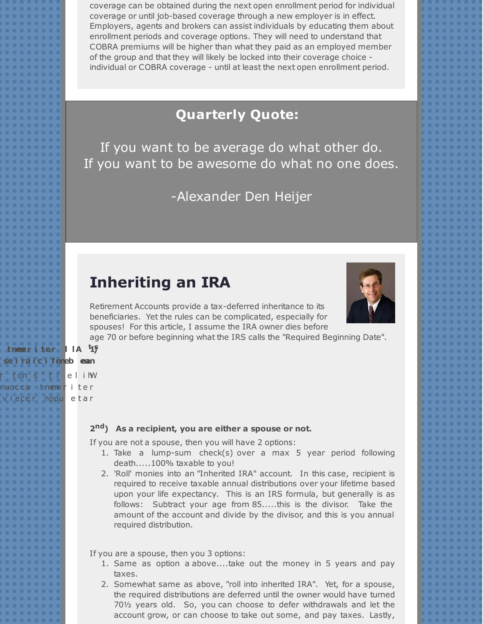coverage can be obtained during the next open enrollment period for individual coverage or until job-based coverage through a new employer is in effect. Employers, agents and brokers can assist individuals by educating them about enrollment periods and coverage options. They will need to understand that COBRA premiums will be higher than what they paid as an employed member of the group and that they will likely be locked into their coverage choice individual or COBRA coverage - until at least the next open enrollment period.

## **Quarterly Quote:**

If you want to be average do what other do. If you want to be awesome do what no one does.

-Alexander Den Heijer

## **Inheriting an IRA**

Retirement Accounts provide a tax-deferred inheritance to its beneficiaries. Yet the rules can be complicated, especially for spouses! For this article, I assume the IRA owner dies before

age 70 or before beginning what the IRS calls the "Required Beginning Date".

#### **1** tneeriter IIA [15]

| se ira icifenebean             |  |  |  |  |  |  |  |  |  |  |  |  |  |  |  |  |  |  |  |  |  |  |  |  |  |  |  |  |  |  |  |  |  |  |  |  |  |
|--------------------------------|--|--|--|--|--|--|--|--|--|--|--|--|--|--|--|--|--|--|--|--|--|--|--|--|--|--|--|--|--|--|--|--|--|--|--|--|--|
| r tons't i <mark>elih</mark> W |  |  |  |  |  |  |  |  |  |  |  |  |  |  |  |  |  |  |  |  |  |  |  |  |  |  |  |  |  |  |  |  |  |  |  |  |  |
| nuocca tnemeriter              |  |  |  |  |  |  |  |  |  |  |  |  |  |  |  |  |  |  |  |  |  |  |  |  |  |  |  |  |  |  |  |  |  |  |  |  |  |
| viecer nopu etar               |  |  |  |  |  |  |  |  |  |  |  |  |  |  |  |  |  |  |  |  |  |  |  |  |  |  |  |  |  |  |  |  |  |  |  |  |  |

#### **2 nd) As a recipient, you are either a spouse or not.**

If you are not a spouse, then you will have 2 options:

- 1. Take a lump-sum check(s) over a max 5 year period following death.....100% taxable to you!
- 2. 'Roll' monies into an "Inherited IRA" account. In this case, recipient is required to receive taxable annual distributions over your lifetime based upon your life expectancy. This is an IRS formula, but generally is as follows: Subtract your age from 85.....this is the divisor. Take the amount of the account and divide by the divisor, and this is you annual required distribution.

If you are a spouse, then you 3 options:

- 1. Same as option a above....take out the money in 5 years and pay taxes.
- 2. Somewhat same as above, "roll into inherited IRA". Yet, for a spouse, the required distributions are deferred until the owner would have turned 70½ years old. So, you can choose to defer withdrawals and let the account grow, or can choose to take out some, and pay taxes. Lastly,

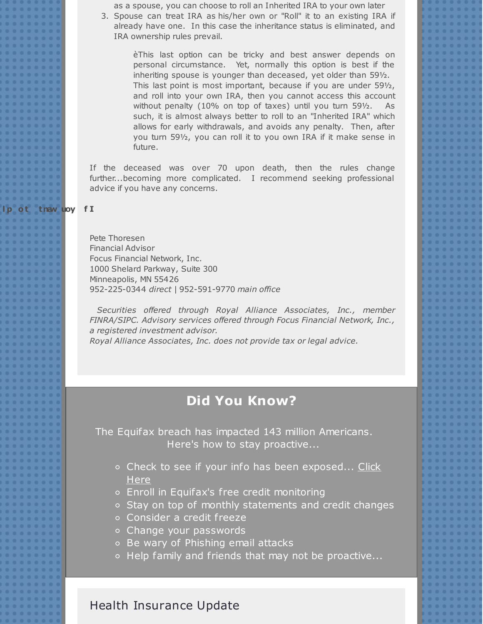as a spouse, you can choose to roll an Inherited IRA to your own later

3. Spouse can treat IRA as his/her own or "Roll" it to an existing IRA if already have one. In this case the inheritance status is eliminated, and IRA ownership rules prevail.

èThis last option can be tricky and best answer depends on personal circumstance. Yet, normally this option is best if the inheriting spouse is younger than deceased, yet older than 59½. This last point is most important, because if you are under 59½, and roll into your own IRA, then you cannot access this account without penalty (10% on top of taxes) until you turn 59½. As such, it is almost always better to roll to an "Inherited IRA" which allows for early withdrawals, and avoids any penalty. Then, after you turn 59½, you can roll it to you own IRA if it make sense in future.

If the deceased was over 70 upon death, then the rules change further...becoming more complicated. I recommend seeking professional advice if you have any concerns.

#### Ip ot tnaw upy fI

Pete Thoresen Financial Advisor Focus Financial Network, Inc. 1000 Shelard Parkway, Suite 300 Minneapolis, MN 55426 952-225-0344 *direct* | 952-591-9770 *main office*

*Securities offered through Royal Alliance Associates, Inc., member FINRA/SIPC. Advisory services offered through Focus Financial Network, Inc., a registered investment advisor.*

*Royal Alliance Associates, Inc. does not provide tax or legal advice.*

## **Did You Know?**

The Equifax breach has impacted 143 million Americans. Here's how to stay proactive...

- o Check to see if your info has been [exposed...](http://r20.rs6.net/tn.jsp?f=001vBFFHOtImPZQ65tav--H6-XnOisbcSA5GkDMK4JUWNf5j55j2z8Ow0gRF4W4UksPlJcm0wQ5xelfsacQwGH7WvFuztuol5dmtcarUx7wjf5-RIUZoNwdGlUNukd_NG59kvdfjpx5z5_yoYwdwD_So5EpTW-GvrGcR5RAihr8Wv7_QuoYt5IIiChp_fZSecWr3QUcbIUT_oDH7NO7YM1V07vlEOP9yvz_ZXpGWMJifJB26RosTgOdNDIrR2QuCxCRZY5Qbp47zdgCpI9xYiAaXradHpGpVsiNhEA5KTPPMWg=&c=&ch=) Click **Here**
- Enroll in Equifax's free credit monitoring
- o Stay on top of monthly statements and credit changes
- Consider a credit freeze
- Change your passwords
- Be wary of Phishing email attacks
- Help family and friends that may not be proactive...

### Health Insurance Update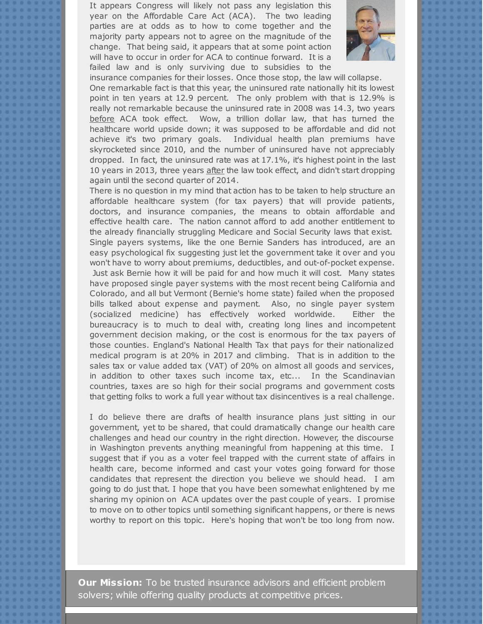It appears Congress will likely not pass any legislation this year on the Affordable Care Act (ACA). The two leading parties are at odds as to how to come together and the majority party appears not to agree on the magnitude of the change. That being said, it appears that at some point action will have to occur in order for ACA to continue forward. It is a failed law and is only surviving due to subsidies to the



insurance companies for their losses. Once those stop, the law will collapse.

One remarkable fact is that this year, the uninsured rate nationally hit its lowest point in ten years at 12.9 percent. The only problem with that is 12.9% is really not remarkable because the uninsured rate in 2008 was 14.3, two years before ACA took effect. Wow, a trillion dollar law, that has turned the healthcare world upside down; it was supposed to be affordable and did not achieve it's two primary goals. Individual health plan premiums have skyrocketed since 2010, and the number of uninsured have not appreciably dropped. In fact, the uninsured rate was at 17.1%, it's highest point in the last 10 years in 2013, three years after the law took effect, and didn't start dropping again until the second quarter of 2014.

There is no question in my mind that action has to be taken to help structure an affordable healthcare system (for tax payers) that will provide patients, doctors, and insurance companies, the means to obtain affordable and effective health care. The nation cannot afford to add another entitlement to the already financially struggling Medicare and Social Security laws that exist. Single payers systems, like the one Bernie Sanders has introduced, are an easy psychological fix suggesting just let the government take it over and you won't have to worry about premiums, deductibles, and out-of-pocket expense. Just ask Bernie how it will be paid for and how much it will cost. Many states have proposed single payer systems with the most recent being California and Colorado, and all but Vermont (Bernie's home state) failed when the proposed bills talked about expense and payment. Also, no single payer system (socialized medicine) has effectively worked worldwide. Either the bureaucracy is to much to deal with, creating long lines and incompetent government decision making, or the cost is enormous for the tax payers of those counties. England's National Health Tax that pays for their nationalized medical program is at 20% in 2017 and climbing. That is in addition to the sales tax or value added tax (VAT) of 20% on almost all goods and services, in addition to other taxes such income tax, etc... In the Scandinavian countries, taxes are so high for their social programs and government costs that getting folks to work a full year without tax disincentives is a real challenge.

I do believe there are drafts of health insurance plans just sitting in our government, yet to be shared, that could dramatically change our health care challenges and head our country in the right direction. However, the discourse in Washington prevents anything meaningful from happening at this time. I suggest that if you as a voter feel trapped with the current state of affairs in health care, become informed and cast your votes going forward for those candidates that represent the direction you believe we should head. I am going to do just that. I hope that you have been somewhat enlightened by me sharing my opinion on ACA updates over the past couple of years. I promise to move on to other topics until something significant happens, or there is news worthy to report on this topic. Here's hoping that won't be too long from now.

**Our Mission:** To be trusted insurance advisors and efficient problem solvers; while offering quality products at competitive prices.